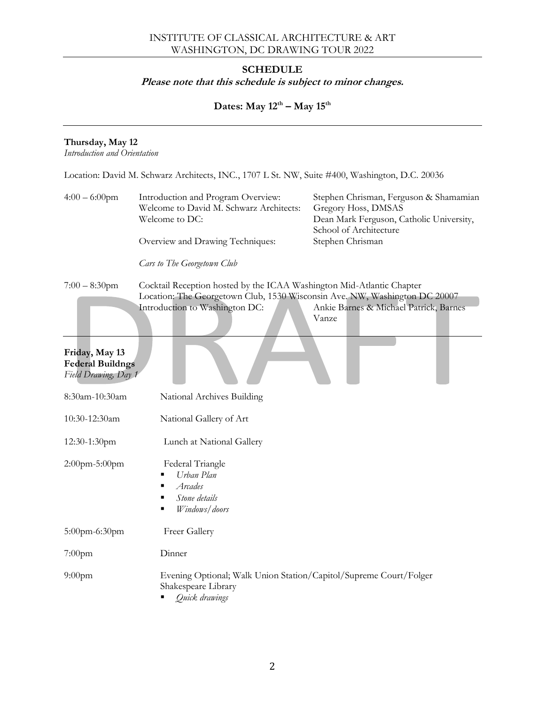### INSTITUTE OF CLASSICAL ARCHITECTURE & ART WASHINGTON, DC DRAWING TOUR 2022

## **SCHEDULE**

## **Please note that this schedule is subject to minor changes.**

# **Dates: May 12th – May 15th**

#### **Thursday, May 12**

*Introduction and Orientation* 

| Location: David M. Schwarz Architects, INC., 1707 L St. NW, Suite #400, Washington, D.C. 20036 |  |  |  |  |
|------------------------------------------------------------------------------------------------|--|--|--|--|
|------------------------------------------------------------------------------------------------|--|--|--|--|

| $4:00 - 6:00$ pm                                              | Introduction and Program Overview:<br>Welcome to David M. Schwarz Architects:<br>Welcome to DC:<br>Overview and Drawing Techniques:<br>Cars to The Georgetown Club                    | Stephen Chrisman, Ferguson & Shamamian<br>Gregory Hoss, DMSAS<br>Dean Mark Ferguson, Catholic University,<br>School of Architecture<br>Stephen Chrisman |
|---------------------------------------------------------------|---------------------------------------------------------------------------------------------------------------------------------------------------------------------------------------|---------------------------------------------------------------------------------------------------------------------------------------------------------|
| $7:00 - 8:30$ pm<br>Friday, May 13<br><b>Federal Buildngs</b> | Cocktail Reception hosted by the ICAA Washington Mid-Atlantic Chapter<br>Location: The Georgetown Club, 1530 Wisconsin Ave, NW, Washington DC 20007<br>Introduction to Washington DC: | Ankie Barnes & Michael Patrick, Barnes<br>Vanze                                                                                                         |
| Field Drawing, Day 1                                          |                                                                                                                                                                                       |                                                                                                                                                         |
| 8:30am-10:30am                                                | National Archives Building                                                                                                                                                            |                                                                                                                                                         |
| 10:30-12:30am                                                 | National Gallery of Art                                                                                                                                                               |                                                                                                                                                         |
| 12:30-1:30pm                                                  | Lunch at National Gallery                                                                                                                                                             |                                                                                                                                                         |
| 2:00pm-5:00pm                                                 | Federal Triangle<br>Urban Plan<br>Arcades<br>Stone details<br>Windows/doors                                                                                                           |                                                                                                                                                         |
| 5:00pm-6:30pm                                                 | Freer Gallery                                                                                                                                                                         |                                                                                                                                                         |
| $7:00$ pm                                                     | Dinner                                                                                                                                                                                |                                                                                                                                                         |
| $9:00$ pm                                                     | Evening Optional; Walk Union Station/Capitol/Supreme Court/Folger<br>Shakespeare Library<br>Quick drawings                                                                            |                                                                                                                                                         |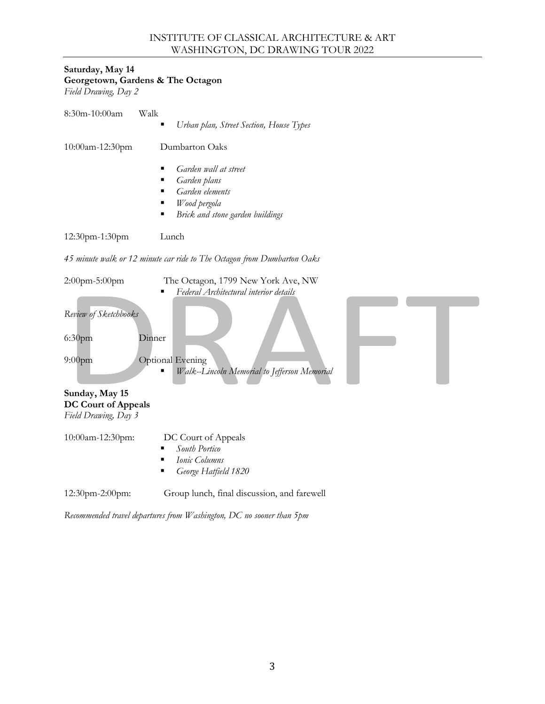#### INSTITUTE OF CLASSICAL ARCHITECTURE & ART WASHINGTON, DC DRAWING TOUR 2022

## **Saturday, May 14 Georgetown, Gardens & The Octagon**

*Field Drawing, Day 2*

| $8:30m-10:00am$    | Walk<br>Urban plan, Street Section, House Types<br>٠                                                                        |  |
|--------------------|-----------------------------------------------------------------------------------------------------------------------------|--|
| $10:00$ am-12:30pm | Dumbarton Oaks                                                                                                              |  |
|                    | Garden wall at street<br>Garden plans<br>Garden elements<br>٠<br>Wood pergola<br>٠<br>Brick and stone garden buildings<br>٠ |  |
| $12:30$ pm-1:30pm  | Lunch                                                                                                                       |  |

*45 minute walk or 12 minute car ride to The Octagon from Dumbarton Oaks*

| $2:00$ pm-5:00pm<br>Review of Sketchbooks<br>6:30 <sub>pm</sub><br>Dinner<br>$9:00$ pm<br>Sunday, May 15<br><b>DC Court of Appeals</b><br>Field Drawing, Day 3 | The Octagon, 1799 New York Ave, NW<br>Federal Architectural interior details<br>Optional Evening<br>Walk--Lincoln Memorial to Jefferson Memorial |  |
|----------------------------------------------------------------------------------------------------------------------------------------------------------------|--------------------------------------------------------------------------------------------------------------------------------------------------|--|
| 10:00am-12:30pm:                                                                                                                                               | DC Court of Appeals<br>South Portico<br>Ionic Columns<br>George Hatfield 1820                                                                    |  |
| 12:30pm-2:00pm:                                                                                                                                                | Group lunch, final discussion, and farewell                                                                                                      |  |

*Recommended travel departures from Washington, DC no sooner than 5pm*